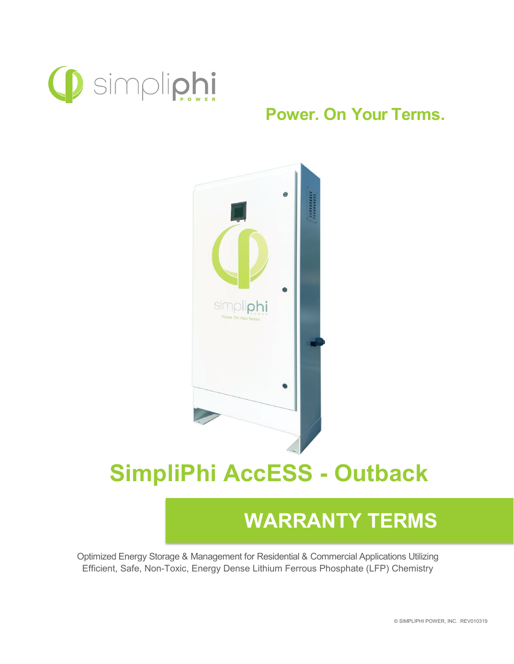

### **Power. On Your Terms.**



# **SimpliPhi AccESS - Outback**

# **WARRANTY TERMS**

Optimized Energy Storage & Management for Residential & Commercial Applications Utilizing Efficient, Safe, Non-Toxic, Energy Dense Lithium Ferrous Phosphate (LFP) Chemistry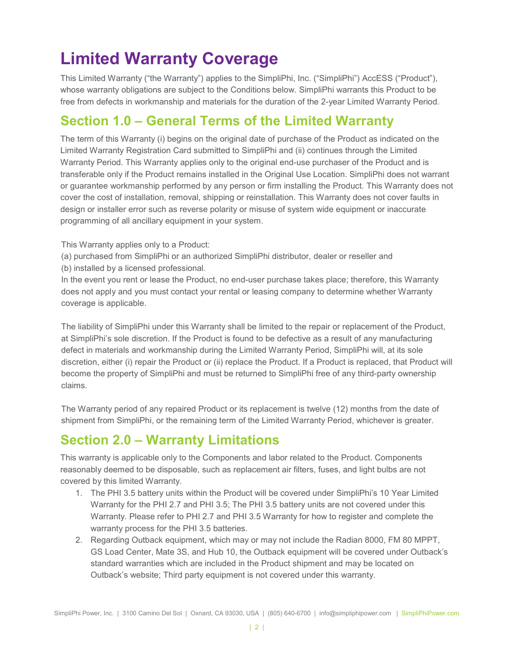## **Limited Warranty Coverage**

This Limited Warranty ("the Warranty") applies to the SimpliPhi, Inc. ("SimpliPhi") AccESS ("Product"), whose warranty obligations are subject to the Conditions below. SimpliPhi warrants this Product to be free from defects in workmanship and materials for the duration of the 2-year Limited Warranty Period.

#### **Section 1.0 – General Terms of the Limited Warranty**

The term of this Warranty (i) begins on the original date of purchase of the Product as indicated on the Limited Warranty Registration Card submitted to SimpliPhi and (ii) continues through the Limited Warranty Period. This Warranty applies only to the original end-use purchaser of the Product and is transferable only if the Product remains installed in the Original Use Location. SimpliPhi does not warrant or guarantee workmanship performed by any person or firm installing the Product. This Warranty does not cover the cost of installation, removal, shipping or reinstallation. This Warranty does not cover faults in design or installer error such as reverse polarity or misuse of system wide equipment or inaccurate programming of all ancillary equipment in your system.

This Warranty applies only to a Product:

(a) purchased from SimpliPhi or an authorized SimpliPhi distributor, dealer or reseller and (b) installed by a licensed professional.

In the event you rent or lease the Product, no end-user purchase takes place; therefore, this Warranty does not apply and you must contact your rental or leasing company to determine whether Warranty coverage is applicable.

The liability of SimpliPhi under this Warranty shall be limited to the repair or replacement of the Product, at SimpliPhi's sole discretion. If the Product is found to be defective as a result of any manufacturing defect in materials and workmanship during the Limited Warranty Period, SimpliPhi will, at its sole discretion, either (i) repair the Product or (ii) replace the Product. If a Product is replaced, that Product will become the property of SimpliPhi and must be returned to SimpliPhi free of any third-party ownership claims.

The Warranty period of any repaired Product or its replacement is twelve (12) months from the date of shipment from SimpliPhi, or the remaining term of the Limited Warranty Period, whichever is greater.

#### **Section 2.0 – Warranty Limitations**

This warranty is applicable only to the Components and labor related to the Product. Components reasonably deemed to be disposable, such as replacement air filters, fuses, and light bulbs are not covered by this limited Warranty.

- 1. The PHI 3.5 battery units within the Product will be covered under SimpliPhi's 10 Year Limited Warranty for the PHI 2.7 and PHI 3.5; The PHI 3.5 battery units are not covered under this Warranty. Please refer to PHI 2.7 and PHI 3.5 Warranty for how to register and complete the warranty process for the PHI 3.5 batteries.
- 2. Regarding Outback equipment, which may or may not include the Radian 8000, FM 80 MPPT, GS Load Center, Mate 3S, and Hub 10, the Outback equipment will be covered under Outback's standard warranties which are included in the Product shipment and may be located on Outback's website; Third party equipment is not covered under this warranty.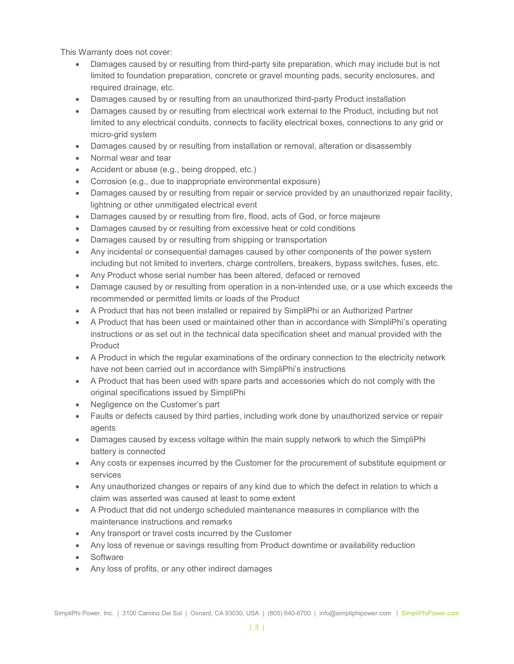This Warranty does not cover:

- Damages caused by or resulting from third-party site preparation, which may include but is not limited to foundation preparation, concrete or gravel mounting pads, security enclosures, and required drainage, etc.
- Damages caused by or resulting from an unauthorized third-party Product installation
- Damages caused by or resulting from electrical work external to the Product, including but not limited to any electrical conduits, connects to facility electrical boxes, connections to any grid or micro-grid system
- Damages caused by or resulting from installation or removal, alteration or disassembly
- Normal wear and tear
- Accident or abuse (e.g., being dropped, etc.)
- Corrosion (e.g., due to inappropriate environmental exposure)
- Damages caused by or resulting from repair or service provided by an unauthorized repair facility, lightning or other unmitigated electrical event
- Damages caused by or resulting from fire, flood, acts of God, or force majeure
- Damages caused by or resulting from excessive heat or cold conditions
- Damages caused by or resulting from shipping or transportation
- Any incidental or consequential damages caused by other components of the power system including but not limited to inverters, charge controllers, breakers, bypass switches, fuses, etc.
- Any Product whose serial number has been altered, defaced or removed
- Damage caused by or resulting from operation in a non-intended use, or a use which exceeds the recommended or permitted limits or loads of the Product
- A Product that has not been installed or repaired by SimpliPhi or an Authorized Partner
- A Product that has been used or maintained other than in accordance with SimpliPhi's operating instructions or as set out in the technical data specification sheet and manual provided with the Product
- A Product in which the regular examinations of the ordinary connection to the electricity network have not been carried out in accordance with SimpliPhi's instructions
- A Product that has been used with spare parts and accessories which do not comply with the original specifications issued by SimpliPhi
- Negligence on the Customer's part
- Faults or defects caused by third parties, including work done by unauthorized service or repair agents
- Damages caused by excess voltage within the main supply network to which the SimpliPhi battery is connected
- Any costs or expenses incurred by the Customer for the procurement of substitute equipment or services
- Any unauthorized changes or repairs of any kind due to which the defect in relation to which a claim was asserted was caused at least to some extent
- A Product that did not undergo scheduled maintenance measures in compliance with the maintenance instructions and remarks
- Any transport or travel costs incurred by the Customer
- Any loss of revenue or savings resulting from Product downtime or availability reduction
- Software
- Any loss of profits, or any other indirect damages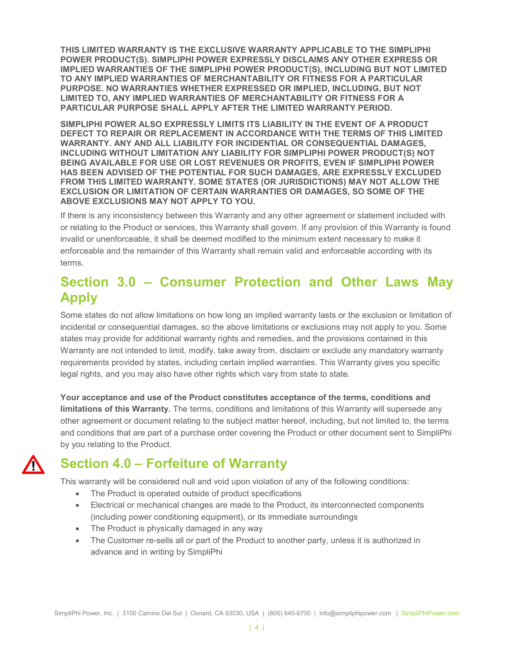**THIS LIMITED WARRANTY IS THE EXCLUSIVE WARRANTY APPLICABLE TO THE SIMPLIPHI POWER PRODUCT(S). SIMPLIPHI POWER EXPRESSLY DISCLAIMS ANY OTHER EXPRESS OR IMPLIED WARRANTIES OF THE SIMPLIPHI POWER PRODUCT(S), INCLUDING BUT NOT LIMITED TO ANY IMPLIED WARRANTIES OF MERCHANTABILITY OR FITNESS FOR A PARTICULAR PURPOSE. NO WARRANTIES WHETHER EXPRESSED OR IMPLIED, INCLUDING, BUT NOT LIMITED TO, ANY IMPLIED WARRANTIES OF MERCHANTABILITY OR FITNESS FOR A PARTICULAR PURPOSE SHALL APPLY AFTER THE LIMITED WARRANTY PERIOD.**

**SIMPLIPHI POWER ALSO EXPRESSLY LIMITS ITS LIABILITY IN THE EVENT OF A PRODUCT DEFECT TO REPAIR OR REPLACEMENT IN ACCORDANCE WITH THE TERMS OF THIS LIMITED WARRANTY. ANY AND ALL LIABILITY FOR INCIDENTIAL OR CONSEQUENTIAL DAMAGES, INCLUDING WITHOUT LIMITATION ANY LIABILITY FOR SIMPLIPHI POWER PRODUCT(S) NOT BEING AVAILABLE FOR USE OR LOST REVENUES OR PROFITS, EVEN IF SIMPLIPHI POWER HAS BEEN ADVISED OF THE POTENTIAL FOR SUCH DAMAGES, ARE EXPRESSLY EXCLUDED FROM THIS LIMITED WARRANTY. SOME STATES (OR JURISDICTIONS) MAY NOT ALLOW THE EXCLUSION OR LIMITATION OF CERTAIN WARRANTIES OR DAMAGES, SO SOME OF THE ABOVE EXCLUSIONS MAY NOT APPLY TO YOU.**

If there is any inconsistency between this Warranty and any other agreement or statement included with or relating to the Product or services, this Warranty shall govern. If any provision of this Warranty is found invalid or unenforceable, it shall be deemed modified to the minimum extent necessary to make it enforceable and the remainder of this Warranty shall remain valid and enforceable according with its terms.

#### **Section 3.0 – Consumer Protection and Other Laws May Apply**

Some states do not allow limitations on how long an implied warranty lasts or the exclusion or limitation of incidental or consequential damages, so the above limitations or exclusions may not apply to you. Some states may provide for additional warranty rights and remedies, and the provisions contained in this Warranty are not intended to limit, modify, take away from, disclaim or exclude any mandatory warranty requirements provided by states, including certain implied warranties. This Warranty gives you specific legal rights, and you may also have other rights which vary from state to state.

**Your acceptance and use of the Product constitutes acceptance of the terms, conditions and limitations of this Warranty.** The terms, conditions and limitations of this Warranty will supersede any other agreement or document relating to the subject matter hereof, including, but not limited to, the terms and conditions that are part of a purchase order covering the Product or other document sent to SimpliPhi by you relating to the Product.

#### **Section 4.0 – Forfeiture of Warranty**

This warranty will be considered null and void upon violation of any of the following conditions:

- The Product is operated outside of product specifications
- Electrical or mechanical changes are made to the Product, its interconnected components (including power conditioning equipment), or its immediate surroundings
- The Product is physically damaged in any way
- The Customer re-sells all or part of the Product to another party, unless it is authorized in advance and in writing by SimpliPhi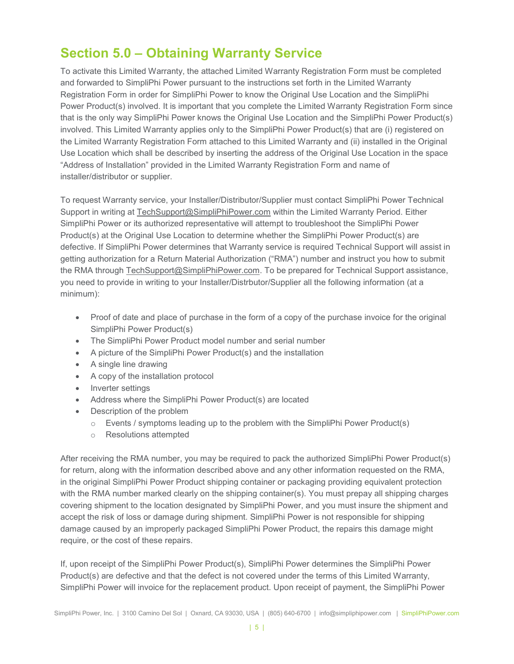#### **Section 5.0 – Obtaining Warranty Service**

To activate this Limited Warranty, the attached Limited Warranty Registration Form must be completed and forwarded to SimpliPhi Power pursuant to the instructions set forth in the Limited Warranty Registration Form in order for SimpliPhi Power to know the Original Use Location and the SimpliPhi Power Product(s) involved. It is important that you complete the Limited Warranty Registration Form since that is the only way SimpliPhi Power knows the Original Use Location and the SimpliPhi Power Product(s) involved. This Limited Warranty applies only to the SimpliPhi Power Product(s) that are (i) registered on the Limited Warranty Registration Form attached to this Limited Warranty and (ii) installed in the Original Use Location which shall be described by inserting the address of the Original Use Location in the space "Address of Installation" provided in the Limited Warranty Registration Form and name of installer/distributor or supplier.

To request Warranty service, your Installer/Distributor/Supplier must contact SimpliPhi Power Technical Support in writing at [TechSupport@SimpliPhiPower.com](mailto:TechSupport@SimpliPhiPower.com) within the Limited Warranty Period. Either SimpliPhi Power or its authorized representative will attempt to troubleshoot the SimpliPhi Power Product(s) at the Original Use Location to determine whether the SimpliPhi Power Product(s) are defective. If SimpliPhi Power determines that Warranty service is required Technical Support will assist in getting authorization for a Return Material Authorization ("RMA") number and instruct you how to submit the RMA through [TechSupport@SimpliPhiPower.com.](mailto:TechSupport@SimpliPhiPower.com) To be prepared for Technical Support assistance, you need to provide in writing to your Installer/Distrbutor/Supplier all the following information (at a minimum):

- Proof of date and place of purchase in the form of a copy of the purchase invoice for the original SimpliPhi Power Product(s)
- The SimpliPhi Power Product model number and serial number
- A picture of the SimpliPhi Power Product(s) and the installation
- A single line drawing
- A copy of the installation protocol
- Inverter settings
- Address where the SimpliPhi Power Product(s) are located
- Description of the problem
	- $\circ$  Events / symptoms leading up to the problem with the SimpliPhi Power Product(s)
	- o Resolutions attempted

After receiving the RMA number, you may be required to pack the authorized SimpliPhi Power Product(s) for return, along with the information described above and any other information requested on the RMA, in the original SimpliPhi Power Product shipping container or packaging providing equivalent protection with the RMA number marked clearly on the shipping container(s). You must prepay all shipping charges covering shipment to the location designated by SimpliPhi Power, and you must insure the shipment and accept the risk of loss or damage during shipment. SimpliPhi Power is not responsible for shipping damage caused by an improperly packaged SimpliPhi Power Product, the repairs this damage might require, or the cost of these repairs.

If, upon receipt of the SimpliPhi Power Product(s), SimpliPhi Power determines the SimpliPhi Power Product(s) are defective and that the defect is not covered under the terms of this Limited Warranty, SimpliPhi Power will invoice for the replacement product. Upon receipt of payment, the SimpliPhi Power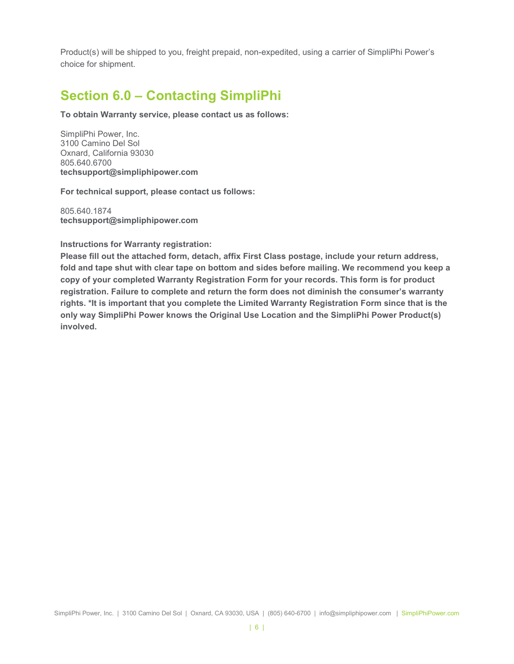Product(s) will be shipped to you, freight prepaid, non-expedited, using a carrier of SimpliPhi Power's choice for shipment.

#### **Section 6.0 – Contacting SimpliPhi**

**To obtain Warranty service, please contact us as follows:**

SimpliPhi Power, Inc. 3100 Camino Del Sol Oxnard, California 93030 805.640.6700 **techsupport@simpliphipower.com**

**For technical support, please contact us follows:**

805.640.1874 **[techsupport@simpliphipower.com](mailto:techsupport@simpliphipower.com)**

**Instructions for Warranty registration:**

**Please fill out the attached form, detach, affix First Class postage, include your return address, fold and tape shut with clear tape on bottom and sides before mailing. We recommend you keep a copy of your completed Warranty Registration Form for your records. This form is for product registration. Failure to complete and return the form does not diminish the consumer's warranty rights. \*It is important that you complete the Limited Warranty Registration Form since that is the only way SimpliPhi Power knows the Original Use Location and the SimpliPhi Power Product(s) involved.**